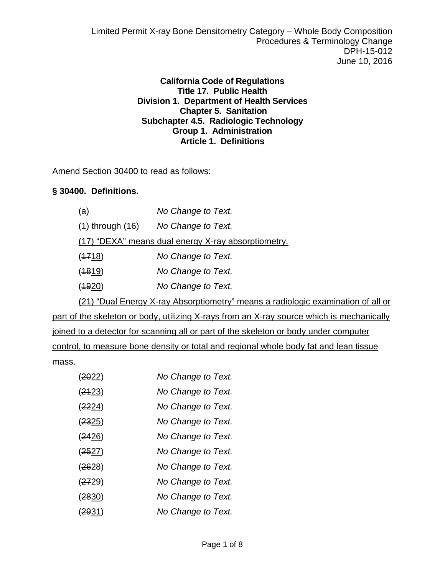Limited Permit X-ray Bone Densitometry Category – Whole Body Composition Procedures & Terminology Change DPH-15-012 June 10, 2016

> **California Code of Regulations Title 17. Public Health Division 1. Department of Health Services Chapter 5. Sanitation Subchapter 4.5. Radiologic Technology Group 1. Administration Article 1. Definitions**

Amend Section 30400 to read as follows:

## **§ 30400. Definitions.**

| (a)                                                 | No Change to Text. |  |
|-----------------------------------------------------|--------------------|--|
| $(1)$ through $(16)$                                | No Change to Text. |  |
| (17) "DEXA" means dual energy X-ray absorptiometry. |                    |  |
| (4718)                                              | No Change to Text. |  |
| (1819)                                              | No Change to Text. |  |
| (4920)                                              | No Change to Text. |  |
|                                                     |                    |  |

(21) "Dual Energy X-ray Absorptiometry" means a radiologic examination of all or part of the skeleton or body, utilizing X-rays from an X-ray source which is mechanically joined to a detector for scanning all or part of the skeleton or body under computer control, to measure bone density or total and regional whole body fat and lean tissue

 $\frac{\text{mass.}}{\text{(2022)}}$ 

| (2022)        | No Change to Text. |
|---------------|--------------------|
| (2423)        | No Change to Text. |
| <u>(2224)</u> | No Change to Text. |
| (2325)        | No Change to Text. |
| <u>(2426)</u> | No Change to Text. |
| <u>(2527)</u> | No Change to Text. |
| (2628)        | No Change to Text. |
| (2729)        | No Change to Text. |
| (2830)        | No Change to Text. |
| (2931)        | No Change to Text. |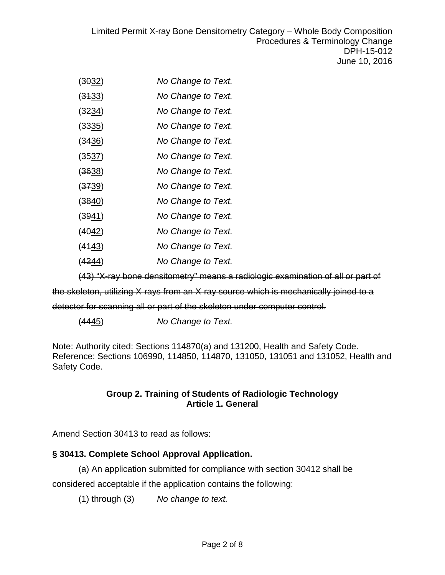Limited Permit X-ray Bone Densitometry Category – Whole Body Composition Procedures & Terminology Change DPH-15-012 June 10, 2016

- (3032) *No Change to Text.*
- (3133) *No Change to Text.*
- (3234) *No Change to Text.*
- (3335) *No Change to Text.*
- (3436) *No Change to Text.*
- (3537) *No Change to Text.*
- (3638) *No Change to Text.*
- (3739) *No Change to Text.*
- (3840) *No Change to Text.*
- (3941) *No Change to Text.*
- (4042) *No Change to Text.*
- (4143) *No Change to Text.*
- (4244) *No Change to Text.*

(43) "X-ray bone densitometry" means a radiologic examination of all or part of

the skeleton, utilizing X-rays from an X-ray source which is mechanically joined to a

detector for scanning all or part of the skeleton under computer control.

(4445) *No Change to Text.*

Note: Authority cited: Sections 114870(a) and 131200, Health and Safety Code. Reference: Sections 106990, 114850, 114870, 131050, 131051 and 131052, Health and Safety Code.

#### **Group 2. Training of Students of Radiologic Technology Article 1. General**

Amend Section 30413 to read as follows:

## **§ 30413. Complete School Approval Application.**

(a) An application submitted for compliance with section 30412 shall be considered acceptable if the application contains the following:

(1) through (3) *No change to text.*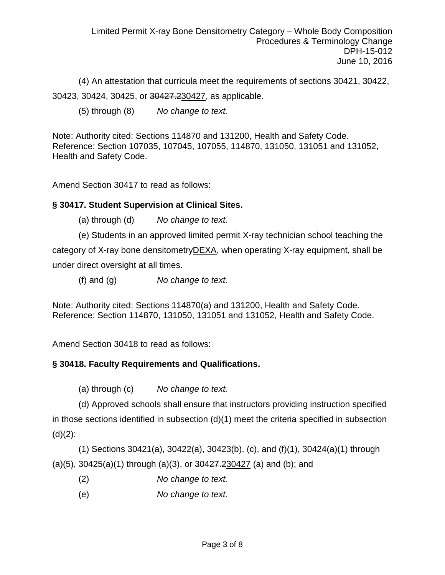(4) An attestation that curricula meet the requirements of sections 30421, 30422, 30423, 30424, 30425, or 30427.230427, as applicable.

(5) through (8) *No change to text.*

Note: Authority cited: Sections 114870 and 131200, Health and Safety Code. Reference: Section 107035, 107045, 107055, 114870, 131050, 131051 and 131052, Health and Safety Code.

Amend Section 30417 to read as follows:

## **§ 30417. Student Supervision at Clinical Sites.**

- (a) through (d) *No change to text.*
- (e) Students in an approved limited permit X-ray technician school teaching the

category of X-ray bone densitometry DEXA, when operating X-ray equipment, shall be under direct oversight at all times.

(f) and (g) *No change to text.*

Note: Authority cited: Sections 114870(a) and 131200, Health and Safety Code. Reference: Section 114870, 131050, 131051 and 131052, Health and Safety Code.

Amend Section 30418 to read as follows:

## **§ 30418. Faculty Requirements and Qualifications.**

(a) through (c) *No change to text.*

(d) Approved schools shall ensure that instructors providing instruction specified in those sections identified in subsection (d)(1) meet the criteria specified in subsection  $(d)(2)$ :

(1) Sections 30421(a), 30422(a), 30423(b), (c), and (f)(1), 30424(a)(1) through (a)(5), 30425(a)(1) through (a)(3), or 30427.230427 (a) and (b); and

- (2) *No change to text.*
- (e) *No change to text.*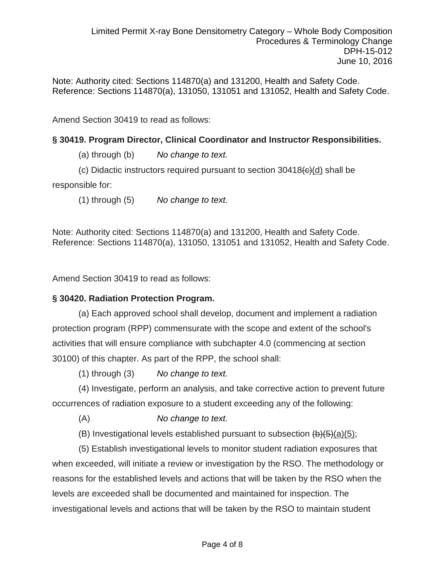Note: Authority cited: Sections 114870(a) and 131200, Health and Safety Code. Reference: Sections 114870(a), 131050, 131051 and 131052, Health and Safety Code.

Amend Section 30419 to read as follows:

## **§ 30419. Program Director, Clinical Coordinator and Instructor Responsibilities.**

(a) through (b) *No change to text.*

(c) Didactic instructors required pursuant to section  $30418 \left(\frac{\text{e}}{\text{e}}\right)$  shall be

responsible for:

(1) through (5) *No change to text.*

Note: Authority cited: Sections 114870(a) and 131200, Health and Safety Code. Reference: Sections 114870(a), 131050, 131051 and 131052, Health and Safety Code.

Amend Section 30419 to read as follows:

## **§ 30420. Radiation Protection Program.**

(a) Each approved school shall develop, document and implement a radiation protection program (RPP) commensurate with the scope and extent of the school's activities that will ensure compliance with subchapter 4.0 (commencing at section 30100) of this chapter. As part of the RPP, the school shall:

(1) through (3) *No change to text.*

(4) Investigate, perform an analysis, and take corrective action to prevent future occurrences of radiation exposure to a student exceeding any of the following:

(A) *No change to text.*

(B) Investigational levels established pursuant to subsection  $(b)(5)(a)(5)$ ;

(5) Establish investigational levels to monitor student radiation exposures that when exceeded, will initiate a review or investigation by the RSO. The methodology or reasons for the established levels and actions that will be taken by the RSO when the levels are exceeded shall be documented and maintained for inspection. The investigational levels and actions that will be taken by the RSO to maintain student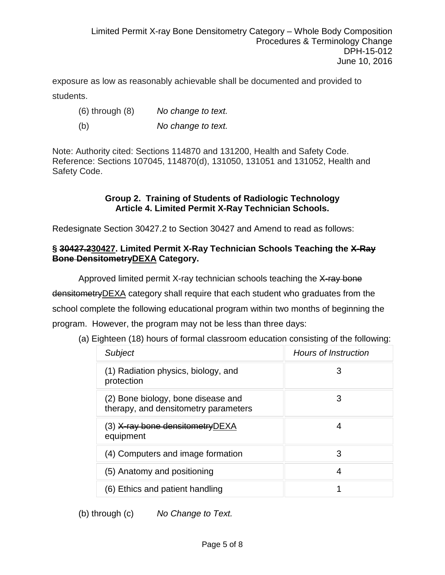exposure as low as reasonably achievable shall be documented and provided to students.

- (6) through (8) *No change to text.*
- (b) *No change to text.*

Note: Authority cited: Sections 114870 and 131200, Health and Safety Code. Reference: Sections 107045, 114870(d), 131050, 131051 and 131052, Health and Safety Code.

#### **Group 2. Training of Students of Radiologic Technology Article 4. Limited Permit X-Ray Technician Schools.**

Redesignate Section 30427.2 to Section 30427 and Amend to read as follows:

## **§ 30427.230427. Limited Permit X-Ray Technician Schools Teaching the X-Ray Bone DensitometryDEXA Category.**

Approved limited permit X-ray technician schools teaching the X-ray bone densitometry DEXA category shall require that each student who graduates from the school complete the following educational program within two months of beginning the program. However, the program may not be less than three days:

| <b>Subject</b>                                                             | <b>Hours of Instruction</b> |
|----------------------------------------------------------------------------|-----------------------------|
| (1) Radiation physics, biology, and<br>protection                          | 3                           |
| (2) Bone biology, bone disease and<br>therapy, and densitometry parameters | З                           |
| (3) <del>X-ray bone densitometry</del> DEXA<br>equipment                   | 4                           |
| (4) Computers and image formation                                          | 3                           |
| (5) Anatomy and positioning                                                | 4                           |
| (6) Ethics and patient handling                                            |                             |

(a) Eighteen (18) hours of formal classroom education consisting of the following:

(b) through (c) *No Change to Text.*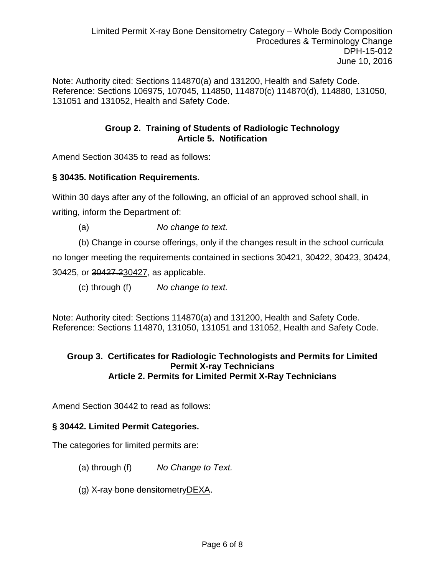Note: Authority cited: Sections 114870(a) and 131200, Health and Safety Code. Reference: Sections 106975, 107045, 114850, 114870(c) 114870(d), 114880, 131050, 131051 and 131052, Health and Safety Code.

## **Group 2. Training of Students of Radiologic Technology Article 5. Notification**

Amend Section 30435 to read as follows:

## **§ 30435. Notification Requirements.**

Within 30 days after any of the following, an official of an approved school shall, in writing, inform the Department of:

(a) *No change to text.*

(b) Change in course offerings, only if the changes result in the school curricula

no longer meeting the requirements contained in sections 30421, 30422, 30423, 30424,

30425, or 30427.230427, as applicable.

(c) through (f) *No change to text.*

Note: Authority cited: Sections 114870(a) and 131200, Health and Safety Code. Reference: Sections 114870, 131050, 131051 and 131052, Health and Safety Code.

## **Group 3. Certificates for Radiologic Technologists and Permits for Limited Permit X-ray Technicians Article 2. Permits for Limited Permit X-Ray Technicians**

Amend Section 30442 to read as follows:

## **§ 30442. Limited Permit Categories.**

The categories for limited permits are:

- (a) through (f) *No Change to Text.*
- (g) X-ray bone densitometryDEXA.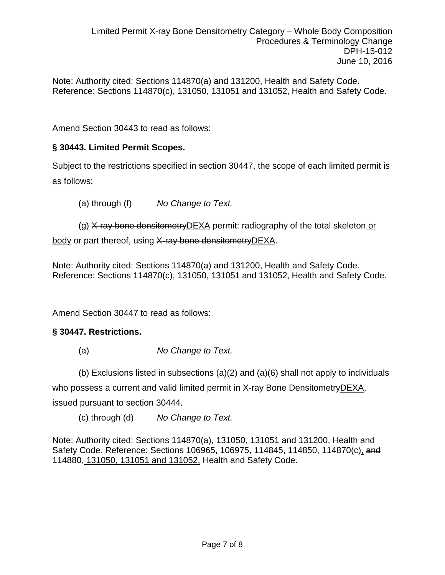Note: Authority cited: Sections 114870(a) and 131200, Health and Safety Code. Reference: Sections 114870(c), 131050, 131051 and 131052, Health and Safety Code.

Amend Section 30443 to read as follows:

# **§ 30443. Limited Permit Scopes.**

Subject to the restrictions specified in section 30447, the scope of each limited permit is as follows:

(a) through (f) *No Change to Text.*

(g) X-ray bone densitometryDEXA permit: radiography of the total skeleton or body or part thereof, using X-ray bone densitometryDEXA.

Note: Authority cited: Sections 114870(a) and 131200, Health and Safety Code. Reference: Sections 114870(c), 131050, 131051 and 131052, Health and Safety Code.

Amend Section 30447 to read as follows:

## **§ 30447. Restrictions.**

(a) *No Change to Text.*

(b) Exclusions listed in subsections (a)(2) and (a)(6) shall not apply to individuals

who possess a current and valid limited permit in X-ray Bone Densitometry DEXA, issued pursuant to section 30444.

(c) through (d) *No Change to Text.*

Note: Authority cited: Sections 114870(a), 131050, 131051 and 131200, Health and Safety Code. Reference: Sections 106965, 106975, 114845, 114850, 114870(c), and 114880, 131050, 131051 and 131052, Health and Safety Code.